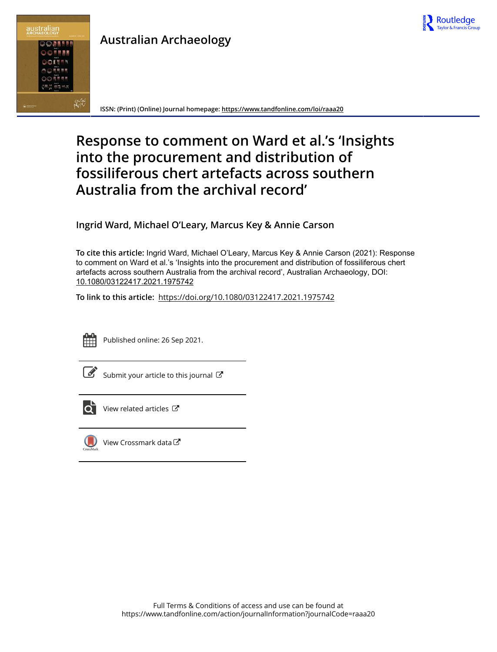



## **Australian Archaeology**

**ISSN: (Print) (Online) Journal homepage: https://www.tandfonline.com/loi/raaa20**

# **Response to comment on Ward et al.'s 'Insights into the procurement and distribution of fossiliferous chert artefacts across southern Australia from the archival record'**

**Ingrid Ward, Michael O'Leary, Marcus Key & Annie Carson**

**To cite this article:** Ingrid Ward, Michael O'Leary, Marcus Key & Annie Carson (2021): Response to comment on Ward et al.'s 'Insights into the procurement and distribution of fossiliferous chert artefacts across southern Australia from the archival record', Australian Archaeology, DOI: 10.1080/03122417.2021.1975742

**To link to this article:** https://doi.org/10.1080/03122417.2021.1975742



Published online: 26 Sep 2021.



 $\overline{\mathscr{L}}$  Submit your article to this journal  $\mathbb{C}^{\bullet}$ 



 $\overrightarrow{O}$  View related articles  $\overrightarrow{C}$ 



 $\bigcirc$  View Crossmark data $\mathbb{Z}$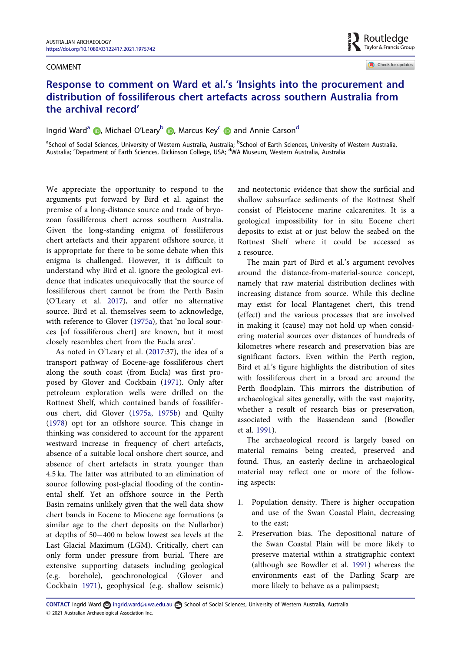#### COMMENT



Check for updates

### Response to comment on Ward et al.'s 'Insights into the procurement and distribution of fossiliferous chert artefacts across southern Australia from the archival record'

Ingrid Ward<sup>a</sup> (D, Michael O'Leary<sup>b</sup> (D, Marcus Key<sup>c</sup> (D) and Annie Carson<sup>d</sup>

<sup>a</sup>School of Social Sciences, University of Western Australia, Australia; <sup>b</sup>School of Earth Sciences, University of Western Australia, Australia; <sup>c</sup>Department of Earth Sciences, Dickinson College, USA; <sup>d</sup>WA Museum, Western Australia, Australia

We appreciate the opportunity to respond to the arguments put forward by Bird et al. against the premise of a long-distance source and trade of bryozoan fossiliferous chert across southern Australia. Given the long-standing enigma of fossiliferous chert artefacts and their apparent offshore source, it is appropriate for there to be some debate when this enigma is challenged. However, it is difficult to understand why Bird et al. ignore the geological evidence that indicates unequivocally that the source of fossiliferous chert cannot be from the Perth Basin (O'Leary et al. 2017), and offer no alternative source. Bird et al. themselves seem to acknowledge, with reference to Glover (1975a), that 'no local sources [of fossiliferous chert] are known, but it most closely resembles chert from the Eucla area'.

As noted in O'Leary et al. (2017:37), the idea of a transport pathway of Eocene-age fossiliferous chert along the south coast (from Eucla) was first proposed by Glover and Cockbain (1971). Only after petroleum exploration wells were drilled on the Rottnest Shelf, which contained bands of fossiliferous chert, did Glover (1975a, 1975b) and Quilty (1978) opt for an offshore source. This change in thinking was considered to account for the apparent westward increase in frequency of chert artefacts, absence of a suitable local onshore chert source, and absence of chert artefacts in strata younger than 4.5 ka. The latter was attributed to an elimination of source following post-glacial flooding of the continental shelf. Yet an offshore source in the Perth Basin remains unlikely given that the well data show chert bands in Eocene to Miocene age formations (a similar age to the chert deposits on the Nullarbor) at depths of 50-400 m below lowest sea levels at the Last Glacial Maximum (LGM). Critically, chert can only form under pressure from burial. There are extensive supporting datasets including geological (e.g. borehole), geochronological (Glover and Cockbain 1971), geophysical (e.g. shallow seismic)

and neotectonic evidence that show the surficial and shallow subsurface sediments of the Rottnest Shelf consist of Pleistocene marine calcarenites. It is a geological impossibility for in situ Eocene chert deposits to exist at or just below the seabed on the Rottnest Shelf where it could be accessed as a resource.

The main part of Bird et al.'s argument revolves around the distance-from-material-source concept, namely that raw material distribution declines with increasing distance from source. While this decline may exist for local Plantagenet chert, this trend (effect) and the various processes that are involved in making it (cause) may not hold up when considering material sources over distances of hundreds of kilometres where research and preservation bias are significant factors. Even within the Perth region, Bird et al.'s figure highlights the distribution of sites with fossiliferous chert in a broad arc around the Perth floodplain. This mirrors the distribution of archaeological sites generally, with the vast majority, whether a result of research bias or preservation, associated with the Bassendean sand (Bowdler et al. 1991).

The archaeological record is largely based on material remains being created, preserved and found. Thus, an easterly decline in archaeological material may reflect one or more of the following aspects:

- 1. Population density. There is higher occupation and use of the Swan Coastal Plain, decreasing to the east;
- 2. Preservation bias. The depositional nature of the Swan Coastal Plain will be more likely to preserve material within a stratigraphic context (although see Bowdler et al. 1991) whereas the environments east of the Darling Scarp are more likely to behave as a palimpsest;

CONTACT Ingrid Ward a ingrid.ward@uwa.edu.au school of Social Sciences, University of Western Australia, Australia 2021 Australian Archaeological Association Inc.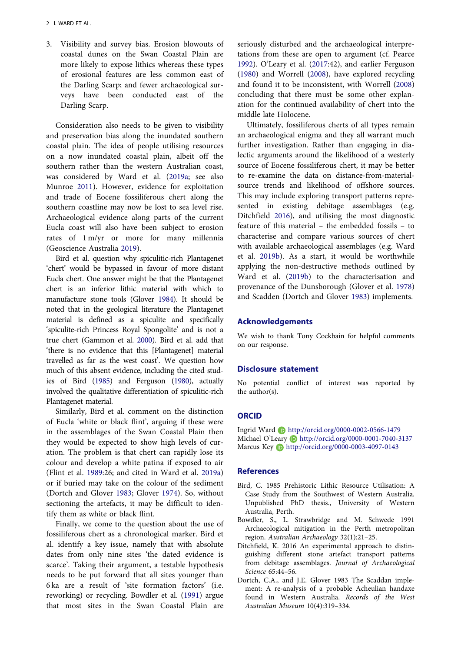3. Visibility and survey bias. Erosion blowouts of coastal dunes on the Swan Coastal Plain are more likely to expose lithics whereas these types of erosional features are less common east of the Darling Scarp; and fewer archaeological surveys have been conducted east of the Darling Scarp.

Consideration also needs to be given to visibility and preservation bias along the inundated southern coastal plain. The idea of people utilising resources on a now inundated coastal plain, albeit off the southern rather than the western Australian coast, was considered by Ward et al. (2019a; see also Munroe 2011). However, evidence for exploitation and trade of Eocene fossiliferous chert along the southern coastline may now be lost to sea level rise. Archaeological evidence along parts of the current Eucla coast will also have been subject to erosion rates of 1 m/yr or more for many millennia (Geoscience Australia 2019).

Bird et al. question why spiculitic-rich Plantagenet 'chert' would be bypassed in favour of more distant Eucla chert. One answer might be that the Plantagenet chert is an inferior lithic material with which to manufacture stone tools (Glover 1984). It should be noted that in the geological literature the Plantagenet material is defined as a spiculite and specifically 'spiculite-rich Princess Royal Spongolite' and is not a true chert (Gammon et al. 2000). Bird et al. add that 'there is no evidence that this [Plantagenet] material travelled as far as the west coast'. We question how much of this absent evidence, including the cited studies of Bird (1985) and Ferguson (1980), actually involved the qualitative differentiation of spiculitic-rich Plantagenet material.

Similarly, Bird et al. comment on the distinction of Eucla 'white or black flint', arguing if these were in the assemblages of the Swan Coastal Plain then they would be expected to show high levels of curation. The problem is that chert can rapidly lose its colour and develop a white patina if exposed to air (Flint et al. 1989:26; and cited in Ward et al. 2019a) or if buried may take on the colour of the sediment (Dortch and Glover 1983; Glover 1974). So, without sectioning the artefacts, it may be difficult to identify them as white or black flint.

Finally, we come to the question about the use of fossiliferous chert as a chronological marker. Bird et al. identify a key issue, namely that with absolute dates from only nine sites 'the dated evidence is scarce'. Taking their argument, a testable hypothesis needs to be put forward that all sites younger than 6 ka are a result of 'site formation factors' (i.e. reworking) or recycling. Bowdler et al. (1991) argue that most sites in the Swan Coastal Plain are

seriously disturbed and the archaeological interpretations from these are open to argument (cf. Pearce 1992). O'Leary et al. (2017:42), and earlier Ferguson (1980) and Worrell (2008), have explored recycling and found it to be inconsistent, with Worrell (2008) concluding that there must be some other explanation for the continued availability of chert into the middle late Holocene.

Ultimately, fossiliferous cherts of all types remain an archaeological enigma and they all warrant much further investigation. Rather than engaging in dialectic arguments around the likelihood of a westerly source of Eocene fossiliferous chert, it may be better to re-examine the data on distance-from-materialsource trends and likelihood of offshore sources. This may include exploring transport patterns represented in existing debitage assemblages (e.g. Ditchfield 2016), and utilising the most diagnostic feature of this material – the embedded fossils – to characterise and compare various sources of chert with available archaeological assemblages (e.g. Ward et al. 2019b). As a start, it would be worthwhile applying the non-destructive methods outlined by Ward et al. (2019b) to the characterisation and provenance of the Dunsborough (Glover et al. 1978) and Scadden (Dortch and Glover 1983) implements.

#### Acknowledgements

We wish to thank Tony Cockbain for helpful comments on our response.

#### Disclosure statement

No potential conflict of interest was reported by the author(s).

#### **ORCID**

Ingrid Ward http://orcid.org/0000-0002-0566-1479 Michael O'Leary **http://orcid.org/0000-0001-7040-3137** Marcus Key D http://orcid.org/0000-0003-4097-0143

#### References

- Bird, C. 1985 Prehistoric Lithic Resource Utilisation: A Case Study from the Southwest of Western Australia. Unpublished PhD thesis., University of Western Australia, Perth.
- Bowdler, S., L. Strawbridge and M. Schwede 1991 Archaeological mitigation in the Perth metropolitan region. Australian Archaeology 32(1):21–25.
- Ditchfield, K. 2016 An experimental approach to distinguishing different stone artefact transport patterns from debitage assemblages. Journal of Archaeological Science 65:44–56.
- Dortch, C.A., and J.E. Glover 1983 The Scaddan implement: A re-analysis of a probable Acheulian handaxe found in Western Australia. Records of the West Australian Museum 10(4):319–334.